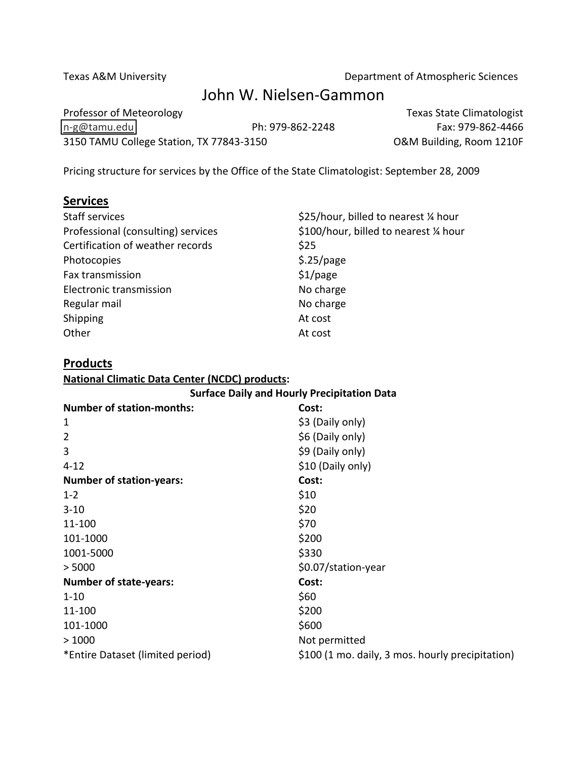Texas A&M University **Department of Atmospheric Sciences** 

# John W. Nielsen-Gammon

Professor of Meteorology **Texas** State Climatologist n-g@tamu.edu Ph: 979-862-2248 Fax: 979-862-4466 3150 TAMU College Station, TX 77843-3150 O&M Building, Room 1210F

Pricing structure for services by the Office of the State Climatologist: September 28, 2009

## $S$

| <b>Staff services</b>              | \$25/hour, billed to nearest 1/4 hour  |
|------------------------------------|----------------------------------------|
| Professional (consulting) services | \$100/hour, billed to nearest 1/4 hour |
| Certification of weather records   | \$25                                   |
| Photocopies                        | \$.25/page                             |
| Fax transmission                   | \$1/page                               |
| Electronic transmission            | No charge                              |
| Regular mail                       | No charge                              |
| Shipping                           | At cost                                |
| Other                              | At cost                                |

## **Products**

## **National Climatic Data Center (NCDC) products:**

#### **Surface Daily and Hourly Precipitation Data**

| <b>Number of station-months:</b> | Cost:                                            |
|----------------------------------|--------------------------------------------------|
| 1                                | \$3 (Daily only)                                 |
| $\overline{2}$                   | \$6 (Daily only)                                 |
| 3                                | \$9 (Daily only)                                 |
| $4 - 12$                         | \$10 (Daily only)                                |
| <b>Number of station-years:</b>  | Cost:                                            |
| $1 - 2$                          | \$10                                             |
| $3 - 10$                         | \$20                                             |
| 11-100                           | \$70                                             |
| 101-1000                         | \$200                                            |
| 1001-5000                        | \$330                                            |
| > 5000                           | \$0.07/station-year                              |
| <b>Number of state-years:</b>    | Cost:                                            |
| $1 - 10$                         | \$60                                             |
| 11-100                           | \$200                                            |
| 101-1000                         | \$600                                            |
| >1000                            | Not permitted                                    |
| *Entire Dataset (limited period) | \$100 (1 mo. daily, 3 mos. hourly precipitation) |